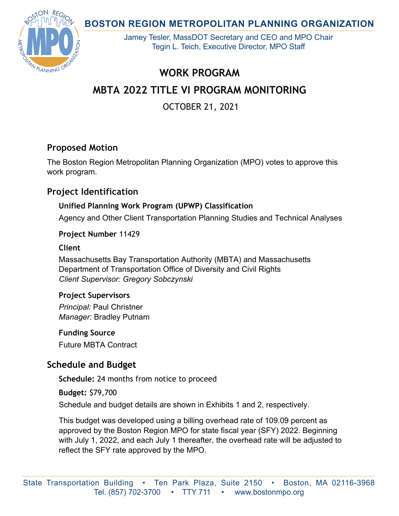**BOSTON REGION METROPOLITAN PLANNING ORGANIZATION** 



Jamey Tesler, MassDOT Secretary and CEO and MPO Chair Tegin L. Teich, Executive Director, MPO Staff

# **WORK PROGRAM**

# **MBTA 2022 TITLE VI PROGRAM MONITORING**

OCTOBER 21, 2021

## **Proposed Motion**

The Boston Region Metropolitan Planning Organization (MPO) votes to approve this work program.

## **Project Identification**

## **Unified Planning Work Program (UPWP) Classification**

Agency and Other Client Transportation Planning Studies and Technical Analyses

**Project Number** 11429

### **Client**

Massachusetts Bay Transportation Authority (MBTA) and Massachusetts Department of Transportation Office of Diversity and Civil Rights *Client Supervisor: Gregory Sobczynski*

### **Project Supervisors**

*Principal:* Paul Christner *Manager:* Bradley Putnam

**Funding Source**  Future MBTA Contract

## **Schedule and Budget**

**Schedule:** 24 months from notice to proceed

**Budget:** \$79,700

Schedule and budget details are shown in Exhibits 1 and 2, respectively.

This budget was developed using a billing overhead rate of 109.09 percent as approved by the Boston Region MPO for state fiscal year (SFY) 2022. Beginning with July 1, 2022, and each July 1 thereafter, the overhead rate will be adjusted to reflect the SFY rate approved by the MPO.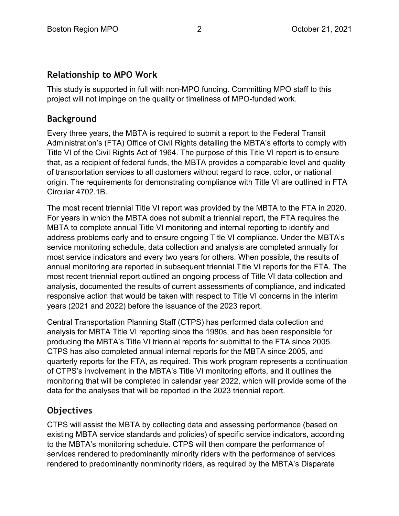## **Relationship to MPO Work**

This study is supported in full with non-MPO funding. Committing MPO staff to this project will not impinge on the quality or timeliness of MPO-funded work.

## **Background**

Every three years, the MBTA is required to submit a report to the Federal Transit Administration's (FTA) Office of Civil Rights detailing the MBTA's efforts to comply with Title VI of the Civil Rights Act of 1964. The purpose of this Title VI report is to ensure that, as a recipient of federal funds, the MBTA provides a comparable level and quality of transportation services to all customers without regard to race, color, or national origin. The requirements for demonstrating compliance with Title VI are outlined in FTA Circular 4702.1B.

The most recent triennial Title VI report was provided by the MBTA to the FTA in 2020. For years in which the MBTA does not submit a triennial report, the FTA requires the MBTA to complete annual Title VI monitoring and internal reporting to identify and address problems early and to ensure ongoing Title VI compliance. Under the MBTA's service monitoring schedule, data collection and analysis are completed annually for most service indicators and every two years for others. When possible, the results of annual monitoring are reported in subsequent triennial Title VI reports for the FTA. The most recent triennial report outlined an ongoing process of Title VI data collection and analysis, documented the results of current assessments of compliance, and indicated responsive action that would be taken with respect to Title VI concerns in the interim years (2021 and 2022) before the issuance of the 2023 report.

Central Transportation Planning Staff (CTPS) has performed data collection and analysis for MBTA Title VI reporting since the 1980s, and has been responsible for producing the MBTA's Title VI triennial reports for submittal to the FTA since 2005. CTPS has also completed annual internal reports for the MBTA since 2005, and quarterly reports for the FTA, as required. This work program represents a continuation of CTPS's involvement in the MBTA's Title VI monitoring efforts, and it outlines the monitoring that will be completed in calendar year 2022, which will provide some of the data for the analyses that will be reported in the 2023 triennial report.

## **Objectives**

CTPS will assist the MBTA by collecting data and assessing performance (based on existing MBTA service standards and policies) of specific service indicators, according to the MBTA's monitoring schedule. CTPS will then compare the performance of services rendered to predominantly minority riders with the performance of services rendered to predominantly nonminority riders, as required by the MBTA's Disparate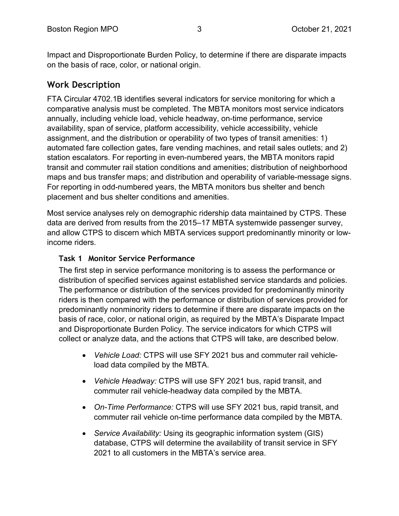Impact and Disproportionate Burden Policy, to determine if there are disparate impacts on the basis of race, color, or national origin.

## **Work Description**

FTA Circular 4702.1B identifies several indicators for service monitoring for which a comparative analysis must be completed. The MBTA monitors most service indicators annually, including vehicle load, vehicle headway, on-time performance, service availability, span of service, platform accessibility, vehicle accessibility, vehicle assignment, and the distribution or operability of two types of transit amenities: 1) automated fare collection gates, fare vending machines, and retail sales outlets; and 2) station escalators. For reporting in even-numbered years, the MBTA monitors rapid transit and commuter rail station conditions and amenities; distribution of neighborhood maps and bus transfer maps; and distribution and operability of variable-message signs. For reporting in odd-numbered years, the MBTA monitors bus shelter and bench placement and bus shelter conditions and amenities.

Most service analyses rely on demographic ridership data maintained by CTPS. These data are derived from results from the 2015–17 MBTA systemwide passenger survey, and allow CTPS to discern which MBTA services support predominantly minority or lowincome riders.

#### **Task 1 Monitor Service Performance**

The first step in service performance monitoring is to assess the performance or distribution of specified services against established service standards and policies. The performance or distribution of the services provided for predominantly minority riders is then compared with the performance or distribution of services provided for predominantly nonminority riders to determine if there are disparate impacts on the basis of race, color, or national origin, as required by the MBTA's Disparate Impact and Disproportionate Burden Policy. The service indicators for which CTPS will collect or analyze data, and the actions that CTPS will take, are described below.

- *Vehicle Load:* CTPS will use SFY 2021 bus and commuter rail vehicleload data compiled by the MBTA.
- *Vehicle Headway:* CTPS will use SFY 2021 bus, rapid transit, and commuter rail vehicle-headway data compiled by the MBTA.
- *On-Time Performance:* CTPS will use SFY 2021 bus, rapid transit, and commuter rail vehicle on-time performance data compiled by the MBTA.
- *Service Availability:* Using its geographic information system (GIS) database, CTPS will determine the availability of transit service in SFY 2021 to all customers in the MBTA's service area.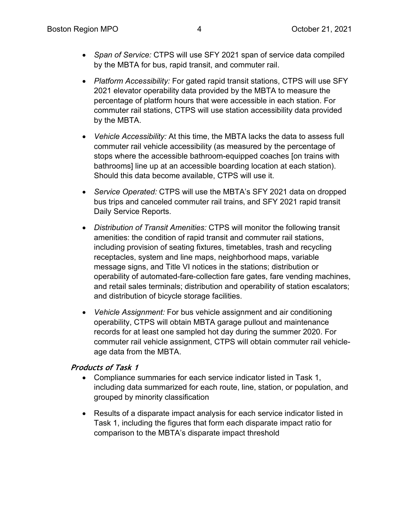- *Span of Service:* CTPS will use SFY 2021 span of service data compiled by the MBTA for bus, rapid transit, and commuter rail.
- *Platform Accessibility:* For gated rapid transit stations, CTPS will use SFY 2021 elevator operability data provided by the MBTA to measure the percentage of platform hours that were accessible in each station. For commuter rail stations, CTPS will use station accessibility data provided by the MBTA.
- *Vehicle Accessibility:* At this time, the MBTA lacks the data to assess full commuter rail vehicle accessibility (as measured by the percentage of stops where the accessible bathroom-equipped coaches [on trains with bathrooms] line up at an accessible boarding location at each station). Should this data become available, CTPS will use it.
- *Service Operated:* CTPS will use the MBTA's SFY 2021 data on dropped bus trips and canceled commuter rail trains, and SFY 2021 rapid transit Daily Service Reports.
- *Distribution of Transit Amenities:* CTPS will monitor the following transit amenities: the condition of rapid transit and commuter rail stations, including provision of seating fixtures, timetables, trash and recycling receptacles, system and line maps, neighborhood maps, variable message signs, and Title VI notices in the stations; distribution or operability of automated-fare-collection fare gates, fare vending machines, and retail sales terminals; distribution and operability of station escalators; and distribution of bicycle storage facilities.
- *Vehicle Assignment:* For bus vehicle assignment and air conditioning operability, CTPS will obtain MBTA garage pullout and maintenance records for at least one sampled hot day during the summer 2020. For commuter rail vehicle assignment, CTPS will obtain commuter rail vehicleage data from the MBTA.

#### **Products of Task 1**

- Compliance summaries for each service indicator listed in Task 1, including data summarized for each route, line, station, or population, and grouped by minority classification
- Results of a disparate impact analysis for each service indicator listed in Task 1, including the figures that form each disparate impact ratio for comparison to the MBTA's disparate impact threshold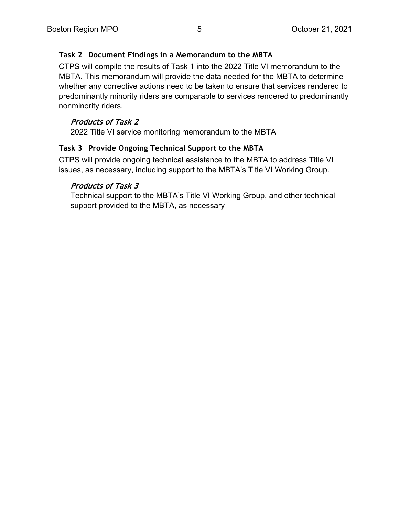#### **Task 2 Document Findings in a Memorandum to the MBTA**

CTPS will compile the results of Task 1 into the 2022 Title VI memorandum to the MBTA. This memorandum will provide the data needed for the MBTA to determine whether any corrective actions need to be taken to ensure that services rendered to predominantly minority riders are comparable to services rendered to predominantly nonminority riders.

#### **Products of Task 2**

2022 Title VI service monitoring memorandum to the MBTA

#### **Task 3 Provide Ongoing Technical Support to the MBTA**

CTPS will provide ongoing technical assistance to the MBTA to address Title VI issues, as necessary, including support to the MBTA's Title VI Working Group.

#### **Products of Task 3**

Technical support to the MBTA's Title VI Working Group, and other technical support provided to the MBTA, as necessary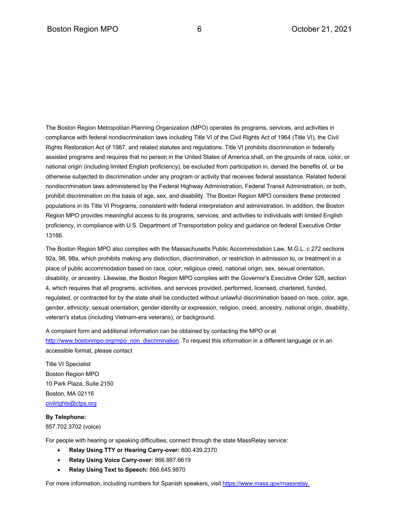The Boston Region Metropolitan Planning Organization (MPO) operates its programs, services, and activities in compliance with federal nondiscrimination laws including Title VI of the Civil Rights Act of 1964 (Title VI), the Civil Rights Restoration Act of 1987, and related statutes and regulations. Title VI prohibits discrimination in federally assisted programs and requires that no person in the United States of America shall, on the grounds of race, color, or national origin (including limited English proficiency), be excluded from participation in, denied the benefits of, or be otherwise subjected to discrimination under any program or activity that receives federal assistance. Related federal nondiscrimination laws administered by the Federal Highway Administration, Federal Transit Administration, or both, prohibit discrimination on the basis of age, sex, and disability. The Boston Region MPO considers these protected populations in its Title VI Programs, consistent with federal interpretation and administration. In addition, the Boston Region MPO provides meaningful access to its programs, services, and activities to individuals with limited English proficiency, in compliance with U.S. Department of Transportation policy and guidance on federal Executive Order 13166.

The Boston Region MPO also complies with the Massachusetts Public Accommodation Law, M.G.L. c 272 sections 92a, 98, 98a, which prohibits making any distinction, discrimination, or restriction in admission to, or treatment in a place of public accommodation based on race, color, religious creed, national origin, sex, sexual orientation, disability, or ancestry. Likewise, the Boston Region MPO complies with the Governor's Executive Order 526, section 4, which requires that all programs, activities, and services provided, performed, licensed, chartered, funded, regulated, or contracted for by the state shall be conducted without unlawful discrimination based on race, color, age, gender, ethnicity, sexual orientation, gender identity or expression, religion, creed, ancestry, national origin, disability, veteran's status (including Vietnam-era veterans), or background.

A complaint form and additional information can be obtained by contacting the MPO or at http://www.bostonmpo.org/mpo\_non\_discrimination. To request this information in a different language or in an accessible format, please contact

Title VI Specialist Boston Region MPO 10 Park Plaza, Suite 2150 Boston, MA 02116 civilrights@ctps.org

#### **By Telephone:**

857.702.3702 (voice)

For people with hearing or speaking difficulties, connect through the state MassRelay service:

- **Relay Using TTY or Hearing Carry-over:** 800.439.2370
- **Relay Using Voice Carry-over:** 866.887.6619
- **Relay Using Text to Speech:** 866.645.9870

For more information, including numbers for Spanish speakers, visit https://www.mass.gov/massrelay.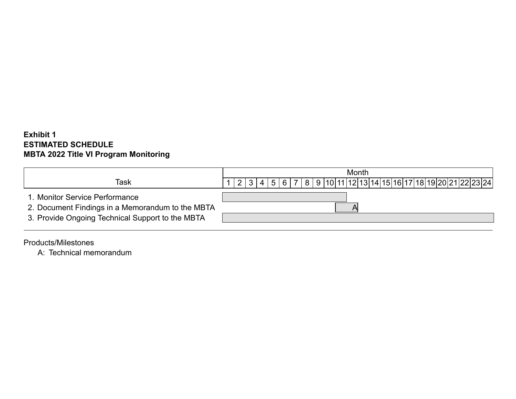## **Exhibit 1 ESTIMATED SCHEDULE MBTA 2022 Title VI Program Monitoring**

|                                                                                                                                        | Month                                                                       |  |  |  |  |  |  |  |
|----------------------------------------------------------------------------------------------------------------------------------------|-----------------------------------------------------------------------------|--|--|--|--|--|--|--|
| Task                                                                                                                                   | 2   3   4   5   6   7   8   9  10 11 12 13 14 15 16 17 18 19 20 21 22 23 24 |  |  |  |  |  |  |  |
| 1. Monitor Service Performance<br>2. Document Findings in a Memorandum to the MBTA<br>3. Provide Ongoing Technical Support to the MBTA |                                                                             |  |  |  |  |  |  |  |

Products/Milestones

A: Technical memorandum